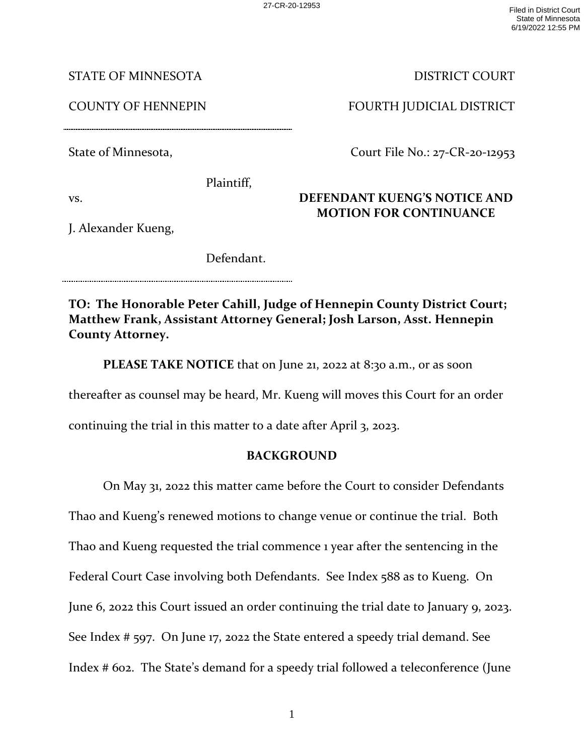27-CR-20-12953 Filed in District Court State of Minnesota 6/19/2022 12:55 PM

STATE OF MINNESOTA

COUNTY OF HENNEPIN

State of Minnesota,

Plaintiff,

vs.

J. Alexander Kueng,

Defendant.

**TO: The Honorable Peter Cahill, Judge of Hennepin County District Court; Matthew Frank, Assistant Attorney General; Josh Larson, Asst. Hennepin County Attorney.** 

**PLEASE TAKE NOTICE** that on June 21, 2022 at 8:30 a.m., or as soon

thereafter as counsel may be heard, Mr. Kueng will moves this Court for an order

continuing the trial in this matter to a date after April 3, 2023.

## **BACKGROUND**

On May 31, 2022 this matter came before the Court to consider Defendants Thao and Kueng's renewed motions to change venue or continue the trial. Both Thao and Kueng requested the trial commence 1 year after the sentencing in the Federal Court Case involving both Defendants. See Index 588 as to Kueng. On June 6, 2022 this Court issued an order continuing the trial date to January 9, 2023. See Index # 597. On June 17, 2022 the State entered a speedy trial demand. See Index # 602. The State's demand for a speedy trial followed a teleconference (June

1

## DISTRICT COURT

FOURTH JUDICIAL DISTRICT

Court File No.: 27-CR-20-12953

## **DEFENDANT KUENG'S NOTICE AND MOTION FOR CONTINUANCE**